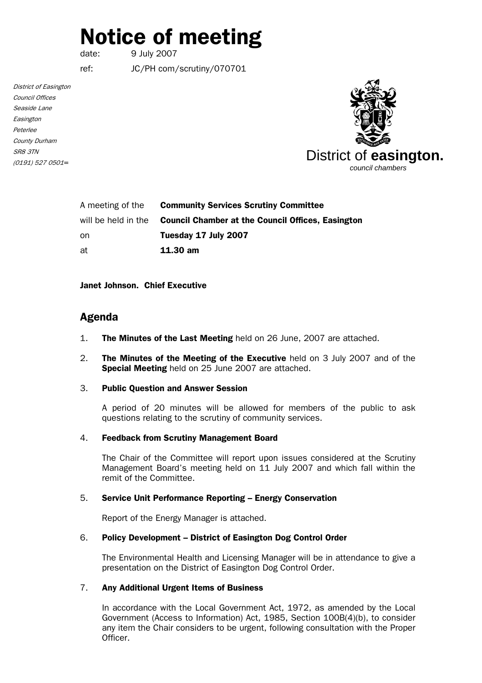# Notice of meeting

date: 9 July 2007

ref: JC/PH com/scrutiny/070701

District of Easington Council Offices Seaside Lane Easington Peterlee County Durham SR8 3TN (0191) 527 0501*=*



| A meeting of the    | <b>Community Services Scrutiny Committee</b>             |
|---------------------|----------------------------------------------------------|
| will be held in the | <b>Council Chamber at the Council Offices, Easington</b> |
| on                  | Tuesday 17 July 2007                                     |
| at                  | $11.30 \text{ am}$                                       |

#### Janet Johnson. Chief Executive

## Agenda

- 1. The Minutes of the Last Meeting held on 26 June, 2007 are attached.
- 2. The Minutes of the Meeting of the Executive held on 3 July 2007 and of the Special Meeting held on 25 June 2007 are attached.

#### 3. Public Question and Answer Session

 A period of 20 minutes will be allowed for members of the public to ask questions relating to the scrutiny of community services.

#### 4. Feedback from Scrutiny Management Board

The Chair of the Committee will report upon issues considered at the Scrutiny Management Board's meeting held on 11 July 2007 and which fall within the remit of the Committee.

#### 5. Service Unit Performance Reporting – Energy Conservation

Report of the Energy Manager is attached.

#### 6. Policy Development – District of Easington Dog Control Order

The Environmental Health and Licensing Manager will be in attendance to give a presentation on the District of Easington Dog Control Order.

### 7. Any Additional Urgent Items of Business

In accordance with the Local Government Act, 1972, as amended by the Local Government (Access to Information) Act, 1985, Section 100B(4)(b), to consider any item the Chair considers to be urgent, following consultation with the Proper Officer.